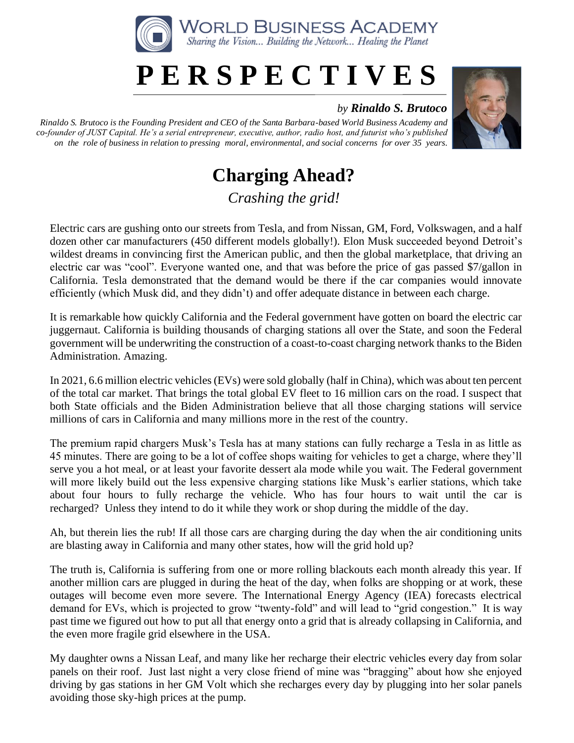

## **P E R S P E C T I V E S**

## *by Rinaldo S. Brutoco*

*Rinaldo S. Brutoco is the Founding President and CEO of the Santa Barbara-based World Business Academy and co-founder of JUST Capital. He's a serial entrepreneur, executive, author, radio host, and futurist who's published on the role of business in relation to pressing moral, environmental, and social concerns for over 35 years.*



## **Charging Ahead?**

*Crashing the grid!*

Electric cars are gushing onto our streets from Tesla, and from Nissan, GM, Ford, Volkswagen, and a half dozen other car manufacturers (450 different models globally!). Elon Musk succeeded beyond Detroit's wildest dreams in convincing first the American public, and then the global marketplace, that driving an electric car was "cool". Everyone wanted one, and that was before the price of gas passed \$7/gallon in California. Tesla demonstrated that the demand would be there if the car companies would innovate efficiently (which Musk did, and they didn't) and offer adequate distance in between each charge.

It is remarkable how quickly California and the Federal government have gotten on board the electric car juggernaut. California is building thousands of charging stations all over the State, and soon the Federal government will be underwriting the construction of a coast-to-coast charging network thanks to the Biden Administration. Amazing.

In 2021, 6.6 million electric vehicles (EVs) were sold globally (half in China), which was about ten percent of the total car market. That brings the total global EV fleet to 16 million cars on the road. I suspect that both State officials and the Biden Administration believe that all those charging stations will service millions of cars in California and many millions more in the rest of the country.

The premium rapid chargers Musk's Tesla has at many stations can fully recharge a Tesla in as little as 45 minutes. There are going to be a lot of coffee shops waiting for vehicles to get a charge, where they'll serve you a hot meal, or at least your favorite dessert ala mode while you wait. The Federal government will more likely build out the less expensive charging stations like Musk's earlier stations, which take about four hours to fully recharge the vehicle. Who has four hours to wait until the car is recharged? Unless they intend to do it while they work or shop during the middle of the day.

Ah, but therein lies the rub! If all those cars are charging during the day when the air conditioning units are blasting away in California and many other states, how will the grid hold up?

The truth is, California is suffering from one or more rolling blackouts each month already this year. If another million cars are plugged in during the heat of the day, when folks are shopping or at work, these outages will become even more severe. The International Energy Agency (IEA) forecasts electrical demand for EVs, which is projected to grow "twenty-fold" and will lead to "grid congestion." It is way past time we figured out how to put all that energy onto a grid that is already collapsing in California, and the even more fragile grid elsewhere in the USA.

My daughter owns a Nissan Leaf, and many like her recharge their electric vehicles every day from solar panels on their roof. Just last night a very close friend of mine was "bragging" about how she enjoyed driving by gas stations in her GM Volt which she recharges every day by plugging into her solar panels avoiding those sky-high prices at the pump.